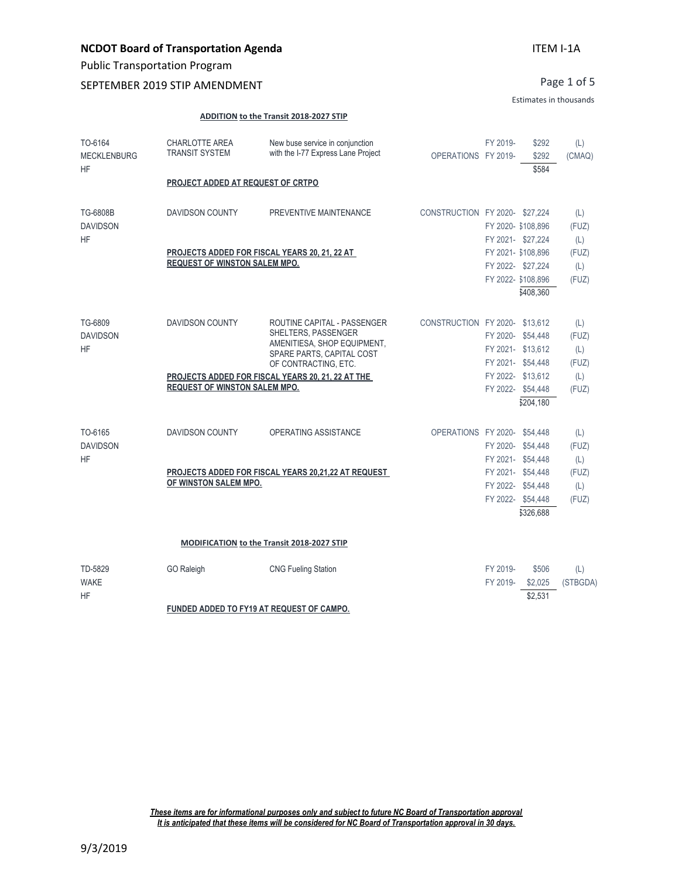## **NCDOT Board of Transportation Agenda**

Public Transportation Program

### SEPTEMBER 2019 STIP AMENDMENT

Page 1 of 5

#### Estimates in thousands

#### **ADDITION to the Transit 2018-2027 STIP**

| TO-6164<br><b>MECKLENBURG</b><br><b>HF</b> | <b>CHARLOTTE AREA</b><br><b>TRANSIT SYSTEM</b><br>PROJECT ADDED AT REQUEST OF CRTPO | New buse service in conjunction<br>with the I-77 Express Lane Project                                                                                                                       | OPERATIONS FY 2019-           | FY 2019-                               | \$292<br>\$292<br>\$584                                                    | (L)<br>(CMAQ)                                |
|--------------------------------------------|-------------------------------------------------------------------------------------|---------------------------------------------------------------------------------------------------------------------------------------------------------------------------------------------|-------------------------------|----------------------------------------|----------------------------------------------------------------------------|----------------------------------------------|
| TG-6808B<br><b>DAVIDSON</b>                | <b>DAVIDSON COUNTY</b>                                                              | PREVENTIVE MAINTENANCE                                                                                                                                                                      | CONSTRUCTION FY 2020-\$27.224 |                                        | FY 2020- \$108,896                                                         | (L)<br>(FUZ)                                 |
| HF                                         | <b>REQUEST OF WINSTON SALEM MPO.</b>                                                | PROJECTS ADDED FOR FISCAL YEARS 20, 21, 22 AT                                                                                                                                               |                               | FY 2021- \$27,224                      | FY 2021- \$108,896<br>FY 2022- \$27,224<br>FY 2022- \$108.896<br>\$408,360 | (L)<br>(FUZ)<br>(L)<br>(FUZ)                 |
| TG-6809<br><b>DAVIDSON</b><br>HF           | <b>DAVIDSON COUNTY</b><br><b>REQUEST OF WINSTON SALEM MPO.</b>                      | ROUTINE CAPITAL - PASSENGER<br>SHELTERS, PASSENGER<br>AMENITIESA, SHOP EQUIPMENT,<br>SPARE PARTS, CAPITAL COST<br>OF CONTRACTING, ETC.<br>PROJECTS ADDED FOR FISCAL YEARS 20, 21, 22 AT THE | CONSTRUCTION FY 2020-\$13,612 | FY 2020- \$54,448<br>FY 2021- \$54,448 | FY 2021- \$13.612<br>FY 2022- \$13,612<br>FY 2022- \$54,448                | (L)<br>(FUZ)<br>(L)<br>(FUZ)<br>(L)<br>(FUZ) |
| TO-6165<br><b>DAVIDSON</b><br><b>HF</b>    | <b>DAVIDSON COUNTY</b><br>OF WINSTON SALEM MPO.                                     | OPERATING ASSISTANCE<br>PROJECTS ADDED FOR FISCAL YEARS 20,21,22 AT REQUEST                                                                                                                 | OPERATIONS FY 2020- \$54,448  | FY 2021- \$54,448<br>FY 2021- \$54,448 | \$204,180<br>FY 2020- \$54,448<br>FY 2022- \$54.448                        | (L)<br>(FUZ)<br>(L)<br>(FUZ)<br>(L)          |
|                                            |                                                                                     |                                                                                                                                                                                             |                               |                                        | FY 2022- \$54,448<br>\$326,688                                             | (FUZ)                                        |
|                                            |                                                                                     | MODIFICATION to the Transit 2018-2027 STIP                                                                                                                                                  |                               |                                        |                                                                            |                                              |
| TD-5829<br><b>WAKE</b><br><b>HF</b>        | GO Raleigh                                                                          | <b>CNG Fueling Station</b>                                                                                                                                                                  |                               | FY 2019-<br>FY 2019-                   | \$506<br>\$2,025<br>\$2,531                                                | (L)<br>(STBGDA)                              |
|                                            |                                                                                     | FUNDED ADDED TO FY19 AT REQUEST OF CAMPO.                                                                                                                                                   |                               |                                        |                                                                            |                                              |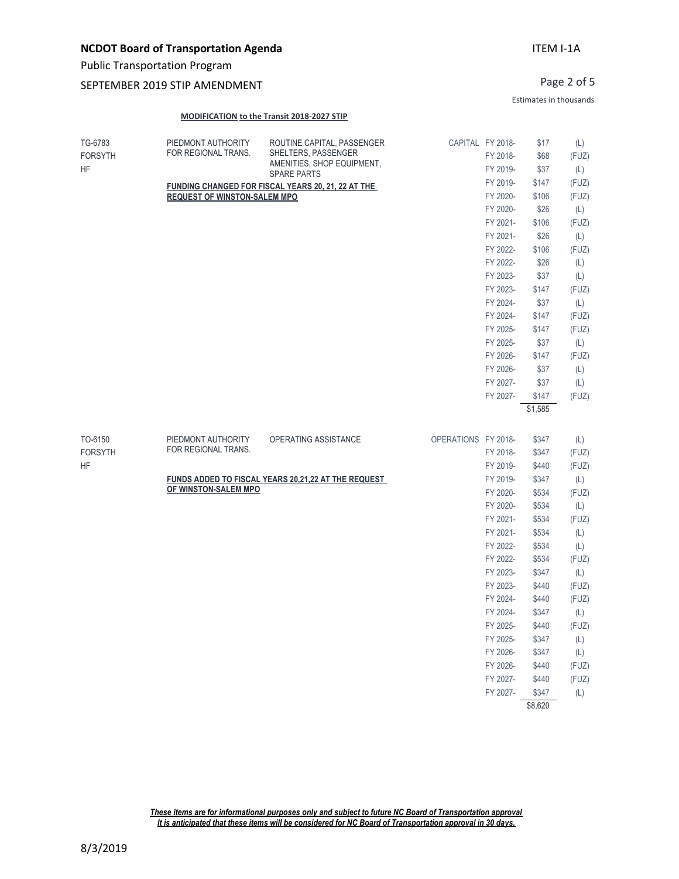### SEPTEMBER 2019 STIP AMENDMENT

Page 2 of 5

Estimates in thousands

#### **MODIFICATION to the Transit 2018-2027 STIP**

| TG-6783<br><b>FORSYTH</b><br><b>HF</b> | PIEDMONT AUTHORITY<br>FOR REGIONAL TRANS. | ROUTINE CAPITAL, PASSENGER<br>SHELTERS, PASSENGER<br>AMENITIES, SHOP EQUIPMENT, |                     | CAPITAL FY 2018-<br>FY 2018-<br>FY 2019- | \$17<br>\$68<br>\$37 | (L)<br>(FUZ)<br>(L) |
|----------------------------------------|-------------------------------------------|---------------------------------------------------------------------------------|---------------------|------------------------------------------|----------------------|---------------------|
|                                        |                                           | <b>SPARE PARTS</b>                                                              |                     |                                          |                      |                     |
|                                        |                                           | FUNDING CHANGED FOR FISCAL YEARS 20, 21, 22 AT THE                              |                     | FY 2019-<br>FY 2020-                     | \$147<br>\$106       | (FUZ)<br>(FUZ)      |
|                                        | <b>REQUEST OF WINSTON-SALEM MPO</b>       |                                                                                 |                     | FY 2020-                                 | \$26                 |                     |
|                                        |                                           |                                                                                 |                     | FY 2021-                                 | \$106                | (L)<br>(FUZ)        |
|                                        |                                           |                                                                                 |                     | FY 2021-                                 | \$26                 | (L)                 |
|                                        |                                           |                                                                                 |                     | FY 2022-                                 | \$106                | (FUZ)               |
|                                        |                                           |                                                                                 |                     | FY 2022-                                 | \$26                 | (L)                 |
|                                        |                                           |                                                                                 |                     | FY 2023-                                 | \$37                 | (L)                 |
|                                        |                                           |                                                                                 |                     | FY 2023-                                 | \$147                | (FUZ)               |
|                                        |                                           |                                                                                 |                     | FY 2024-                                 | \$37                 | (L)                 |
|                                        |                                           |                                                                                 |                     | FY 2024-                                 | \$147                | (FUZ)               |
|                                        |                                           |                                                                                 |                     | FY 2025-                                 | \$147                | (FUZ)               |
|                                        |                                           |                                                                                 |                     | FY 2025-                                 | \$37                 | (L)                 |
|                                        |                                           |                                                                                 |                     | FY 2026-                                 | \$147                | (FUZ)               |
|                                        |                                           |                                                                                 |                     | FY 2026-                                 | \$37                 | (L)                 |
|                                        |                                           |                                                                                 |                     | FY 2027-                                 | \$37                 | (L)                 |
|                                        |                                           |                                                                                 |                     | FY 2027-                                 | \$147                | (FUZ)               |
|                                        |                                           |                                                                                 |                     |                                          | \$1,585              |                     |
| TO-6150                                | PIEDMONT AUTHORITY                        | OPERATING ASSISTANCE                                                            | OPERATIONS FY 2018- |                                          | \$347                | (L)                 |
| <b>FORSYTH</b>                         | FOR REGIONAL TRANS.                       |                                                                                 |                     | FY 2018-                                 | \$347                | (FUZ)               |
| <b>HF</b>                              |                                           |                                                                                 |                     | FY 2019-                                 | \$440                | (FUZ)               |
|                                        |                                           | <b>FUNDS ADDED TO FISCAL YEARS 20,21,22 AT THE REQUEST</b>                      |                     | FY 2019-                                 | \$347                | (L)                 |
|                                        | OF WINSTON-SALEM MPO                      |                                                                                 |                     | FY 2020-                                 | \$534                | (FUZ)               |
|                                        |                                           |                                                                                 |                     | FY 2020-                                 | \$534                | (L)                 |
|                                        |                                           |                                                                                 |                     | FY 2021-                                 | \$534                | (FUZ)               |
|                                        |                                           |                                                                                 |                     | FY 2021-                                 | \$534                | (L)                 |
|                                        |                                           |                                                                                 |                     | FY 2022-                                 | \$534                | (L)                 |
|                                        |                                           |                                                                                 |                     | FY 2022-                                 | \$534                | (FUZ)               |
|                                        |                                           |                                                                                 |                     | FY 2023-                                 | \$347                | (L)                 |
|                                        |                                           |                                                                                 |                     | FY 2023-                                 | \$440                | (FUZ)               |
|                                        |                                           |                                                                                 |                     | FY 2024-                                 | \$440                | (FUZ)               |
|                                        |                                           |                                                                                 |                     | FY 2024-                                 | \$347                | (L)                 |
|                                        |                                           |                                                                                 |                     | FY 2025-                                 | \$440                | (FUZ)               |
|                                        |                                           |                                                                                 |                     | FY 2025-                                 | \$347                | (L)                 |
|                                        |                                           |                                                                                 |                     | FY 2026-                                 | \$347                | (L)                 |
|                                        |                                           |                                                                                 |                     | FY 2026-                                 | \$440                | (FUZ)               |
|                                        |                                           |                                                                                 |                     | FY 2027-                                 | \$440                | (FUZ)               |
|                                        |                                           |                                                                                 |                     | FY 2027-                                 | \$347                | (L)                 |

\$8,620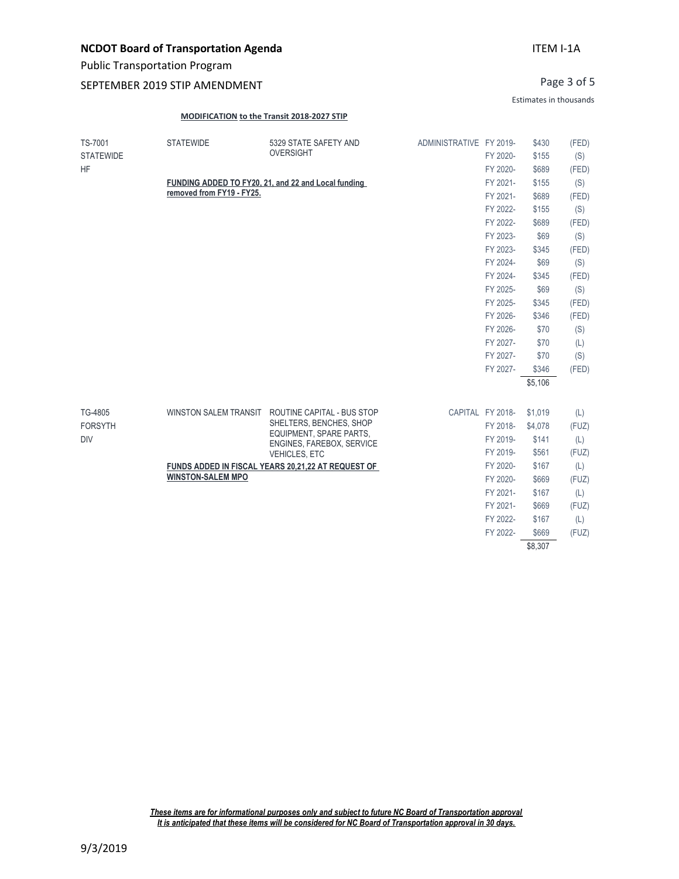Public Transportation Program

### SEPTEMBER 2019 STIP AMENDMENT

Page 3 of 5

Estimates in thousands

#### **MODIFICATION to the Transit 2018-2027 STIP**

| TS-7001          | <b>STATEWIDE</b>             | 5329 STATE SAFETY AND                                | ADMINISTRATIVE FY 2019- |                  | \$430   | (FED) |
|------------------|------------------------------|------------------------------------------------------|-------------------------|------------------|---------|-------|
| <b>STATEWIDE</b> |                              | <b>OVERSIGHT</b>                                     |                         | FY 2020-         | \$155   | (S)   |
| <b>HF</b>        |                              |                                                      |                         | FY 2020-         | \$689   | (FED) |
|                  |                              | FUNDING ADDED TO FY20, 21, and 22 and Local funding  |                         | FY 2021-         | \$155   | (S)   |
|                  | removed from FY19 - FY25.    |                                                      |                         | FY 2021-         | \$689   | (FED) |
|                  |                              |                                                      |                         | FY 2022-         | \$155   | (S)   |
|                  |                              |                                                      |                         | FY 2022-         | \$689   | (FED) |
|                  |                              |                                                      |                         | FY 2023-         | \$69    | (S)   |
|                  |                              |                                                      |                         | FY 2023-         | \$345   | (FED) |
|                  |                              |                                                      |                         | FY 2024-         | \$69    | (S)   |
|                  |                              |                                                      |                         | FY 2024-         | \$345   | (FED) |
|                  |                              |                                                      |                         | FY 2025-         | \$69    | (S)   |
|                  |                              |                                                      |                         | FY 2025-         | \$345   | (FED) |
|                  |                              |                                                      |                         | FY 2026-         | \$346   | (FED) |
|                  |                              |                                                      |                         | FY 2026-         | \$70    | (S)   |
|                  |                              |                                                      |                         | FY 2027-         | \$70    | (L)   |
|                  |                              |                                                      |                         | FY 2027-         | \$70    | (S)   |
|                  |                              |                                                      |                         | FY 2027-         | \$346   | (FED) |
|                  |                              |                                                      |                         |                  | \$5,106 |       |
| TG-4805          | <b>WINSTON SALEM TRANSIT</b> | ROUTINE CAPITAL - BUS STOP                           |                         | CAPITAL FY 2018- | \$1,019 | (L)   |
| <b>FORSYTH</b>   |                              | SHELTERS, BENCHES, SHOP                              |                         | FY 2018-         | \$4,078 | (FUZ) |
| <b>DIV</b>       |                              | EQUIPMENT, SPARE PARTS,<br>ENGINES, FAREBOX, SERVICE |                         | FY 2019-         | \$141   | (L)   |
|                  |                              | VEHICLES, ETC                                        |                         | FY 2019-         | \$561   | (FUZ) |
|                  |                              | FUNDS ADDED IN FISCAL YEARS 20,21,22 AT REQUEST OF   |                         | FY 2020-         | \$167   | (L)   |
|                  | <b>WINSTON-SALEM MPO</b>     |                                                      |                         | FY 2020-         | \$669   | (FUZ) |
|                  |                              |                                                      |                         | FY 2021-         | \$167   | (L)   |
|                  |                              |                                                      |                         | FY 2021-         | \$669   | (FUZ) |
|                  |                              |                                                      |                         | FY 2022-         | \$167   | (L)   |
|                  |                              |                                                      |                         | FY 2022-         | \$669   | (FUZ) |
|                  |                              |                                                      |                         |                  | \$8.307 |       |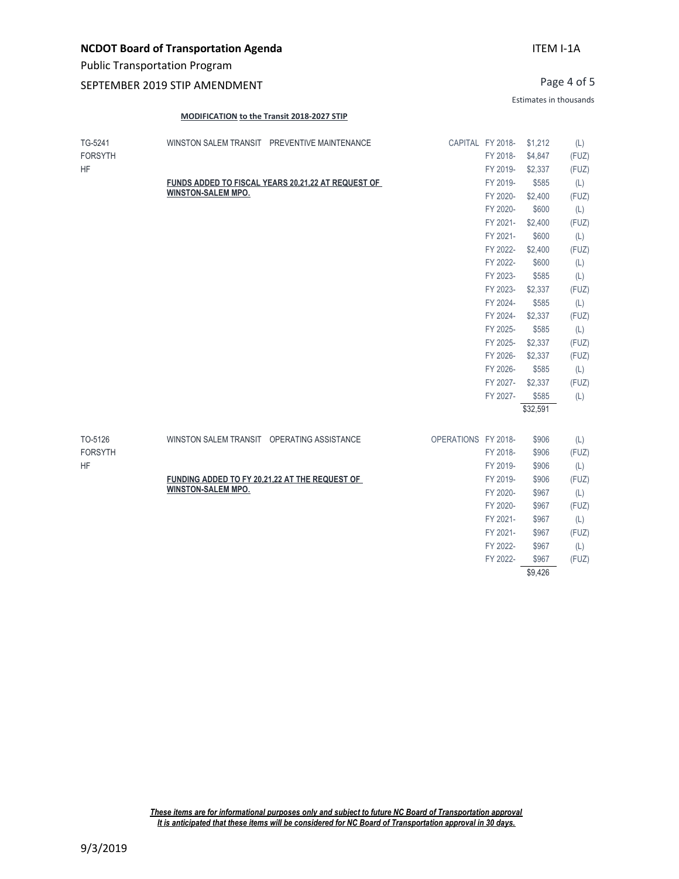### SEPTEMBER 2019 STIP AMENDMENT

Page 4 of 5

Estimates in thousands

#### **MODIFICATION to the Transit 2018-2027 STIP**

| TG-5241<br><b>FORSYTH</b><br><b>HF</b> | WINSTON SALEM TRANSIT PREVENTIVE MAINTENANCE                                    | CAPITAL FY 2018-    | FY 2018-             | \$1,212<br>\$4,847 | (L)<br>(FUZ) |
|----------------------------------------|---------------------------------------------------------------------------------|---------------------|----------------------|--------------------|--------------|
|                                        |                                                                                 |                     | FY 2019-             | \$2,337            | (FUZ)        |
|                                        | FUNDS ADDED TO FISCAL YEARS 20,21,22 AT REQUEST OF<br><b>WINSTON-SALEM MPO.</b> |                     | FY 2019-             | \$585              | (L)          |
|                                        |                                                                                 |                     | FY 2020-             | \$2,400            | (FUZ)        |
|                                        |                                                                                 |                     | FY 2020-             | \$600              | (L)          |
|                                        |                                                                                 |                     | FY 2021-<br>FY 2021- | \$2,400            | (FUZ)        |
|                                        |                                                                                 |                     | FY 2022-             | \$600              | (L)          |
|                                        |                                                                                 |                     |                      | \$2,400            | (FUZ)        |
|                                        |                                                                                 |                     | FY 2022-             | \$600              | (L)          |
|                                        |                                                                                 |                     | FY 2023-<br>FY 2023- | \$585<br>\$2,337   | (L)<br>(FUZ) |
|                                        |                                                                                 |                     | FY 2024-             | \$585              | (L)          |
|                                        |                                                                                 |                     | FY 2024-             | \$2,337            | (FUZ)        |
|                                        |                                                                                 |                     | FY 2025-             | \$585              | (L)          |
|                                        |                                                                                 |                     | FY 2025-             | \$2,337            | (FUZ)        |
|                                        |                                                                                 |                     | FY 2026-             | \$2,337            | (FUZ)        |
|                                        |                                                                                 |                     | FY 2026-             | \$585              | (L)          |
|                                        |                                                                                 |                     | FY 2027-             | \$2,337            | (FUZ)        |
|                                        |                                                                                 |                     | FY 2027-             | \$585              | (L)          |
|                                        |                                                                                 |                     |                      | \$32,591           |              |
|                                        |                                                                                 |                     |                      |                    |              |
| TO-5126                                | WINSTON SALEM TRANSIT OPERATING ASSISTANCE                                      | OPERATIONS FY 2018- |                      | \$906              | (L)          |
| <b>FORSYTH</b>                         |                                                                                 |                     | FY 2018-             | \$906              | (FUZ)        |
| <b>HF</b>                              |                                                                                 |                     | FY 2019-             | \$906              | (L)          |
|                                        | FUNDING ADDED TO FY 20,21,22 AT THE REQUEST OF                                  |                     | FY 2019-             | \$906              | (FUZ)        |
|                                        | <b>WINSTON-SALEM MPO.</b>                                                       |                     | FY 2020-             | \$967              | (L)          |
|                                        |                                                                                 |                     | FY 2020-             | \$967              | (FUZ)        |
|                                        |                                                                                 |                     | FY 2021-             | \$967              | (L)          |
|                                        |                                                                                 |                     | FY 2021-             | \$967              | (FUZ)        |
|                                        |                                                                                 |                     | FY 2022-             | \$967              | (L)          |
|                                        |                                                                                 |                     | FY 2022-             | \$967              | (FUZ)        |
|                                        |                                                                                 |                     |                      | \$9.426            |              |